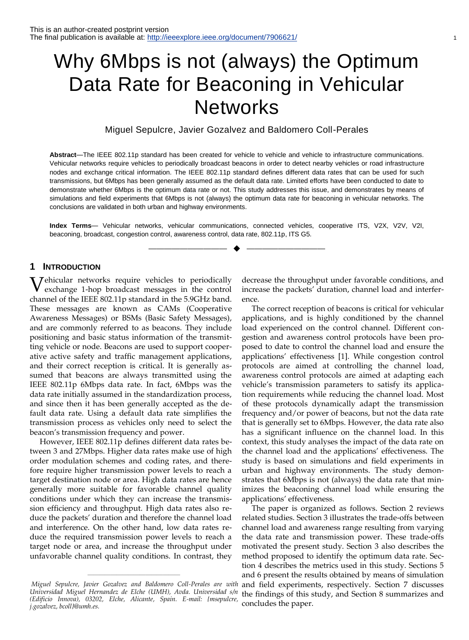# Why 6Mbps is not (always) the Optimum Data Rate for Beaconing in Vehicular **Networks**

Miguel Sepulcre, Javier Gozalvez and Baldomero Coll-Perales

**Abstract**—The IEEE 802.11p standard has been created for vehicle to vehicle and vehicle to infrastructure communications. Vehicular networks require vehicles to periodically broadcast beacons in order to detect nearby vehicles or road infrastructure nodes and exchange critical information. The IEEE 802.11p standard defines different data rates that can be used for such transmissions, but 6Mbps has been generally assumed as the default data rate. Limited efforts have been conducted to date to demonstrate whether 6Mbps is the optimum data rate or not. This study addresses this issue, and demonstrates by means of simulations and field experiments that 6Mbps is not (always) the optimum data rate for beaconing in vehicular networks. The conclusions are validated in both urban and highway environments.

**Index Terms**— Vehicular networks, vehicular communications, connected vehicles, cooperative ITS, V2X, V2V, V2I, beaconing, broadcast, congestion control, awareness control, data rate, 802.11p, ITS G5.

—————————— ——————————

# **1 INTRODUCTION**

**V**ehicular networks require vehicles to periodically exchange 1-hop broadcast messages in the control exchange 1-hop broadcast messages in the control channel of the IEEE 802.11p standard in the 5.9GHz band. These messages are known as CAMs (Cooperative Awareness Messages) or BSMs (Basic Safety Messages), and are commonly referred to as beacons. They include positioning and basic status information of the transmitting vehicle or node. Beacons are used to support cooperative active safety and traffic management applications, and their correct reception is critical. It is generally assumed that beacons are always transmitted using the IEEE 802.11p 6Mbps data rate. In fact, 6Mbps was the data rate initially assumed in the standardization process, and since then it has been generally accepted as the default data rate. Using a default data rate simplifies the transmission process as vehicles only need to select the beacon's transmission frequency and power.

However, IEEE 802.11p defines different data rates between 3 and 27Mbps. Higher data rates make use of high order modulation schemes and coding rates, and therefore require higher transmission power levels to reach a target destination node or area. High data rates are hence generally more suitable for favorable channel quality conditions under which they can increase the transmission efficiency and throughput. High data rates also reduce the packets' duration and therefore the channel load and interference. On the other hand, low data rates reduce the required transmission power levels to reach a target node or area, and increase the throughput under unfavorable channel quality conditions. In contrast, they

————————————————

decrease the throughput under favorable conditions, and increase the packets' duration, channel load and interference.

The correct reception of beacons is critical for vehicular applications, and is highly conditioned by the channel load experienced on the control channel. Different congestion and awareness control protocols have been proposed to date to control the channel load and ensure the applications' effectiveness [\[1\].](#page-10-0) While congestion control protocols are aimed at controlling the channel load, awareness control protocols are aimed at adapting each vehicle's transmission parameters to satisfy its application requirements while reducing the channel load. Most of these protocols dynamically adapt the transmission frequency and/or power of beacons, but not the data rate that is generally set to 6Mbps. However, the data rate also has a significant influence on the channel load. In this context, this study analyses the impact of the data rate on the channel load and the applications' effectiveness. The study is based on simulations and field experiments in urban and highway environments. The study demonstrates that 6Mbps is not (always) the data rate that minimizes the beaconing channel load while ensuring the applications' effectiveness.

The paper is organized as follows. Section 2 reviews related studies. Section 3 illustrates the trade-offs between channel load and awareness range resulting from varying the data rate and transmission power. These trade-offs motivated the present study. Section 3 also describes the method proposed to identify the optimum data rate. Section 4 describes the metrics used in this study. Sections 5 and 6 present the results obtained by means of simulation and field experiments, respectively. Section 7 discusses the findings of this study, and Section 8 summarizes and concludes the paper.

*Miguel Sepulcre, Javier Gozalvez and Baldomero Coll-Perales are with Universidad Miguel Hernandez de Elche (UMH), Avda. Universidad s/n (Edificio Innova), 03202, Elche, Alicante, Spain. E-mail: {msepulcre, j.gozalvez, bcoll}@umh.es.*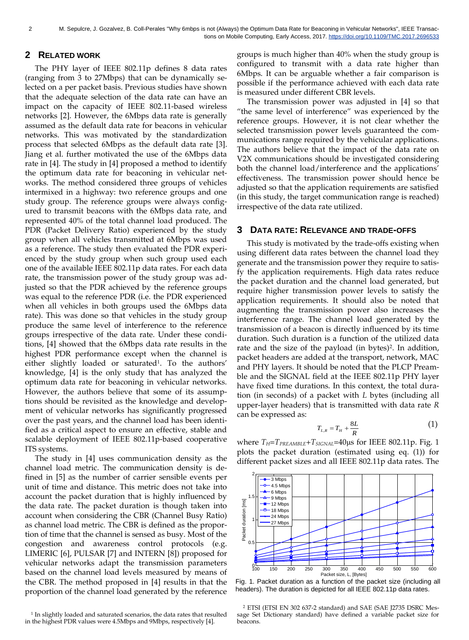# **2 RELATED WORK**

The PHY layer of IEEE 802.11p defines 8 data rates (ranging from 3 to 27Mbps) that can be dynamically selected on a per packet basis. Previous studies have shown that the adequate selection of the data rate can have an impact on the capacity of IEEE 802.11-based wireless networks [\[2\].](#page-10-1) However, the 6Mbps data rate is generally assumed as the default data rate for beacons in vehicular networks. This was motivated by the standardization process that selected 6Mbps as the default data rate [\[3\].](#page-10-2) Jiang et al. further motivated the use of the 6Mbps data rate in [\[4\].](#page-10-3) The study in [\[4\]](#page-10-3) proposed a method to identify the optimum data rate for beaconing in vehicular networks. The method considered three groups of vehicles intermixed in a highway: two reference groups and one study group. The reference groups were always configured to transmit beacons with the 6Mbps data rate, and represented 40% of the total channel load produced. The PDR (Packet Delivery Ratio) experienced by the study group when all vehicles transmitted at 6Mbps was used as a reference. The study then evaluated the PDR experienced by the study group when such group used each one of the available IEEE 802.11p data rates. For each data rate, the transmission power of the study group was adjusted so that the PDR achieved by the reference groups was equal to the reference PDR (i.e. the PDR experienced when all vehicles in both groups used the 6Mbps data rate). This was done so that vehicles in the study group produce the same level of interference to the reference groups irrespective of the data rate. Under these conditions, [\[4\]](#page-10-3) showed that the 6Mbps data rate results in the highest PDR performance except when the channel is either slightly loaded or saturated<sup>1</sup>. To the authors' knowledge, [\[4\]](#page-10-3) is the only study that has analyzed the optimum data rate for beaconing in vehicular networks. However, the authors believe that some of its assumptions should be revisited as the knowledge and development of vehicular networks has significantly progressed over the past years, and the channel load has been identified as a critical aspect to ensure an effective, stable and scalable deployment of IEEE 802.11p-based cooperative ITS systems.

The study in [\[4\]](#page-10-3) uses communication density as the channel load metric. The communication density is defined in [\[5\]](#page-10-4) as the number of carrier sensible events per unit of time and distance. This metric does not take into account the packet duration that is highly influenced by the data rate. The packet duration is though taken into account when considering the CBR (Channel Busy Ratio) as channel load metric. The CBR is defined as the proportion of time that the channel is sensed as busy. Most of the congestion and awareness control protocols (e.g. LIMERIC [\[6\],](#page-10-5) PULSAR [\[7\]](#page-10-6) and INTERN [\[8\]\)](#page-10-7) proposed for vehicular networks adapt the transmission parameters based on the channel load levels measured by means of the CBR. The method proposed in [\[4\]](#page-10-3) results in that the proportion of the channel load generated by the reference

<sup>1</sup> In slightly loaded and saturated scenarios, the data rates that resulted in the highest PDR values were 4.5Mbps and 9Mbps, respectively [4].

groups is much higher than 40% when the study group is configured to transmit with a data rate higher than 6Mbps. It can be arguable whether a fair comparison is possible if the performance achieved with each data rate is measured under different CBR levels.

The transmission power was adjusted in [\[4\]](#page-10-3) so that "the same level of interference" was experienced by the reference groups. However, it is not clear whether the selected transmission power levels guaranteed the communications range required by the vehicular applications. The authors believe that the impact of the data rate on V2X communications should be investigated considering both the channel load/interference and the applications' effectiveness. The transmission power should hence be adjusted so that the application requirements are satisfied (in this study, the target communication range is reached) irrespective of the data rate utilized.

## **3 DATA RATE: RELEVANCE AND TRADE-OFFS**

This study is motivated by the trade-offs existing when using different data rates between the channel load they generate and the transmission power they require to satisfy the application requirements. High data rates reduce the packet duration and the channel load generated, but require higher transmission power levels to satisfy the application requirements. It should also be noted that augmenting the transmission power also increases the interference range. The channel load generated by the transmission of a beacon is directly influenced by its time duration. Such duration is a function of the utilized data rate and the size of the payload (in bytes)<sup>2</sup>. In addition, packet headers are added at the transport, network, MAC and PHY layers. It should be noted that the PLCP Preamble and the SIGNAL field at the IEEE 802.11p PHY layer have fixed time durations. In this context, the total duration (in seconds) of a packet with *L* bytes (including all upper-layer headers) that is transmitted with data rate *R* can be expressed as:

$$
T_{L,R} = T_H + \frac{8L}{R} \tag{1}
$$

where *TH*=*TPREAMBLE*+*TSIGNAL*=40μs for IEEE 802.11p. Fig. 1 plots the packet duration (estimated using eq. (1)) for different packet sizes and all IEEE 802.11p data rates. The



Fig. 1. Packet duration as a function of the packet size (including all headers). The duration is depicted for all IEEE 802.11p data rates.

<sup>2</sup> ETSI (ETSI EN 302 637-2 standard) and SAE (SAE J2735 DSRC Message Set Dictionary standard) have defined a variable packet size for beacons.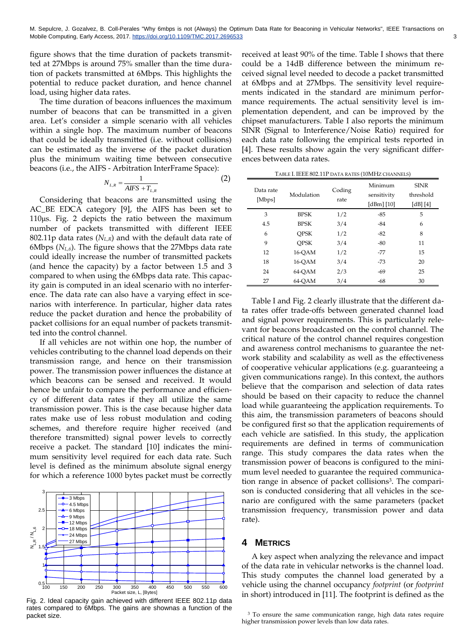figure shows that the time duration of packets transmitted at 27Mbps is around 75% smaller than the time duration of packets transmitted at 6Mbps. This highlights the potential to reduce packet duration, and hence channel load, using higher data rates.

The time duration of beacons influences the maximum number of beacons that can be transmitted in a given area. Let's consider a simple scenario with all vehicles within a single hop. The maximum number of beacons that could be ideally transmitted (i.e. without collisions) can be estimated as the inverse of the packet duration plus the minimum waiting time between consecutive beacons (i.e., the AIFS - Arbitration InterFrame Space):

$$
N_{L,R} = \frac{1}{AIFS + T_{L,R}}\tag{2}
$$

Considering that beacons are transmitted using the AC\_BE EDCA category [\[9\],](#page-10-8) the AIFS has been set to 110μs. Fig. 2 depicts the ratio between the maximum number of packets transmitted with different IEEE 802.11p data rates (*NL,R*) and with the default data rate of 6Mbps (*NL,6*). The figure shows that the 27Mbps data rate could ideally increase the number of transmitted packets (and hence the capacity) by a factor between 1.5 and 3 compared to when using the 6Mbps data rate. This capacity gain is computed in an ideal scenario with no interference. The data rate can also have a varying effect in scenarios with interference. In particular, higher data rates reduce the packet duration and hence the probability of packet collisions for an equal number of packets transmitted into the control channel.

If all vehicles are not within one hop, the number of vehicles contributing to the channel load depends on their transmission range, and hence on their transmission power. The transmission power influences the distance at which beacons can be sensed and received. It would hence be unfair to compare the performance and efficiency of different data rates if they all utilize the same transmission power. This is the case because higher data rates make use of less robust modulation and coding schemes, and therefore require higher received (and therefore transmitted) signal power levels to correctly receive a packet. The standard [\[10\]](#page-10-9) indicates the minimum sensitivity level required for each data rate. Such level is defined as the minimum absolute signal energy for which a reference 1000 bytes packet must be correctly



Fig. 2. Ideal capacity gain achieved with different IEEE 802.11p data rates compared to 6Mbps. The gains are shownas a function of the packet size.

received at least 90% of the time. Table I shows that there could be a 14dB difference between the minimum received signal level needed to decode a packet transmitted at 6Mbps and at 27Mbps. The sensitivity level requirements indicated in the standard are minimum performance requirements. The actual sensitivity level is implementation dependent, and can be improved by the chipset manufacturers. Table I also reports the minimum SINR (Signal to Interference/Noise Ratio) required for each data rate following the empirical tests reported in [\[4\].](#page-10-3) These results show again the very significant differences between data rates.

| Data rate<br>[Mbps] | Modulation  | Coding<br>rate | Minimum<br>sensitivity<br>[dBm] $[10]$ | <b>SINR</b><br>threshold<br>[dB] $[4]$ |
|---------------------|-------------|----------------|----------------------------------------|----------------------------------------|
| 3                   | BPSK        | 1/2            | -85                                    | 5                                      |
| 4.5                 | <b>BPSK</b> | 3/4            | $-84$                                  | 6                                      |
| 6                   | <b>OPSK</b> | 1/2            | $-82$                                  | 8                                      |
| 9                   | <b>OPSK</b> | 3/4            | -80                                    | 11                                     |
| 12                  | 16-OAM      | 1/2            | $-77$                                  | 15                                     |
| 18                  | 16-OAM      | 3/4            | $-73$                                  | 20                                     |
| 24                  | 64-OAM      | 2/3            | -69                                    | 25                                     |
| 27                  | 64-OAM      | 3/4            | -68                                    | 30                                     |

TABLE I. IEEE 802.11P DATA RATES (10MHZ CHANNELS)

Table I and Fig. 2 clearly illustrate that the different data rates offer trade-offs between generated channel load and signal power requirements. This is particularly relevant for beacons broadcasted on the control channel. The critical nature of the control channel requires congestion and awareness control mechanisms to guarantee the network stability and scalability as well as the effectiveness of cooperative vehicular applications (e.g. guaranteeing a given communications range). In this context, the authors believe that the comparison and selection of data rates should be based on their capacity to reduce the channel load while guaranteeing the application requirements. To this aim, the transmission parameters of beacons should be configured first so that the application requirements of each vehicle are satisfied. In this study, the application requirements are defined in terms of communication range. This study compares the data rates when the transmission power of beacons is configured to the minimum level needed to guarantee the required communication range in absence of packet collisions<sup>3</sup>. The comparison is conducted considering that all vehicles in the scenario are configured with the same parameters (packet transmission frequency, transmission power and data rate).

# **4 METRICS**

A key aspect when analyzing the relevance and impact of the data rate in vehicular networks is the channel load. This study computes the channel load generated by a vehicle using the channel occupancy *footprint* (or *footprint* in short) introduced in [\[11\].](#page-10-10) The footprint is defined as the

<sup>&</sup>lt;sup>3</sup> To ensure the same communication range, high data rates require higher transmission power levels than low data rates.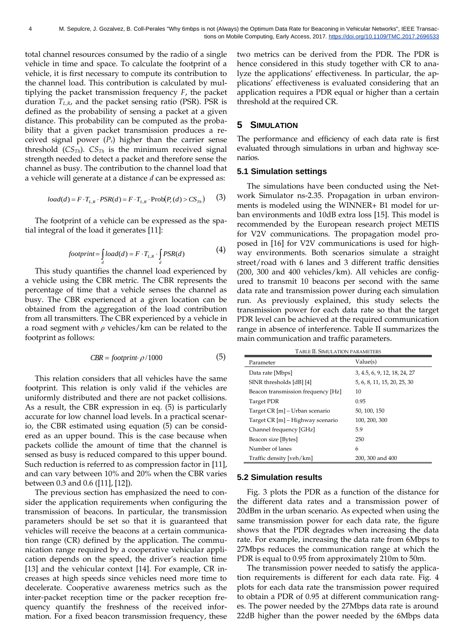total channel resources consumed by the radio of a single vehicle in time and space. To calculate the footprint of a vehicle, it is first necessary to compute its contribution to the channel load. This contribution is calculated by multiplying the packet transmission frequency *F*, the packet duration *TL,R*, and the packet sensing ratio (PSR). PSR is defined as the probability of sensing a packet at a given distance. This probability can be computed as the probability that a given packet transmission produces a received signal power  $(P_r)$  higher than the carrier sense threshold (*CSTh*). *CSTh* is the minimum received signal strength needed to detect a packet and therefore sense the channel as busy. The contribution to the channel load that a vehicle will generate at a distance *d* can be expressed as:

$$
load(d) = F \cdot T_{L,R} \cdot PSR(d) = F \cdot T_{L,R} \cdot Prob(P_r(d) > CS_{Th})
$$
 (3)

The footprint of a vehicle can be expressed as the spatial integral of the load it generate[s \[11\]:](#page-10-10)

$$
footprint = \int_{d} load(d) = F \cdot T_{L,R} \cdot \int_{d} PSR(d)
$$
 (4)

This study quantifies the channel load experienced by a vehicle using the CBR metric. The CBR represents the percentage of time that a vehicle senses the channel as busy. The CBR experienced at a given location can be obtained from the aggregation of the load contribution from all transmitters. The CBR experienced by a vehicle in a road segment with *ρ* vehicles/km can be related to the footprint as follows:

$$
CBR = footprint \cdot \rho / 1000 \tag{5}
$$

This relation considers that all vehicles have the same footprint. This relation is only valid if the vehicles are uniformly distributed and there are not packet collisions. As a result, the CBR expression in eq. (5) is particularly accurate for low channel load levels. In a practical scenario, the CBR estimated using equation (5) can be considered as an upper bound. This is the case because when packets collide the amount of time that the channel is sensed as busy is reduced compared to this upper bound. Such reduction is referred to as compression factor in [\[11\],](#page-10-10) and can vary between 10% and 20% when the CBR varies between 0.3 and 0.6 [\(\[11\],](#page-10-10) [\[12\]\)](#page-10-11).

The previous section has emphasized the need to consider the application requirements when configuring the transmission of beacons. In particular, the transmission parameters should be set so that it is guaranteed that vehicles will receive the beacons at a certain communication range (CR) defined by the application. The communication range required by a cooperative vehicular application depends on the speed, the driver's reaction time [\[13\]](#page-10-12) and the vehicular context [\[14\].](#page-10-13) For example, CR increases at high speeds since vehicles need more time to decelerate. Cooperative awareness metrics such as the inter-packet reception time or the packer reception frequency quantify the freshness of the received information. For a fixed beacon transmission frequency, these

two metrics can be derived from the PDR. The PDR is hence considered in this study together with CR to analyze the applications' effectiveness. In particular, the applications' effectiveness is evaluated considering that an application requires a PDR equal or higher than a certain threshold at the required CR.

## **5 SIMULATION**

The performance and efficiency of each data rate is first evaluated through simulations in urban and highway scenarios.

### **5.1 Simulation settings**

The simulations have been conducted using the Network Simulator ns-2.35. Propagation in urban environments is modeled using the WINNER+ B1 model for urban environments and 10dB extra loss [\[15\].](#page-10-14) This model is recommended by the European research project METIS for V2V communications. The propagation model proposed in [\[16\]](#page-10-15) for V2V communications is used for highway environments. Both scenarios simulate a straight street/road with 6 lanes and 3 different traffic densities (200, 300 and 400 vehicles/km). All vehicles are configured to transmit 10 beacons per second with the same data rate and transmission power during each simulation run. As previously explained, this study selects the transmission power for each data rate so that the target PDR level can be achieved at the required communication range in absence of interference. Table II summarizes the main communication and traffic parameters.

| <b>TABLE II. SIMULATION PARAMETERS</b> |                              |  |  |
|----------------------------------------|------------------------------|--|--|
| Parameter                              | Value(s)                     |  |  |
| Data rate [Mbps]                       | 3, 4.5, 6, 9, 12, 18, 24, 27 |  |  |
| SINR thresholds [dB] [4]               | 5, 6, 8, 11, 15, 20, 25, 30  |  |  |
| Beacon transmission frequency [Hz]     | 10                           |  |  |
| <b>Target PDR</b>                      | 0.95                         |  |  |
| Target CR [m] – Urban scenario         | 50, 100, 150                 |  |  |
| Target CR [m] – Highway scenario       | 100, 200, 300                |  |  |
| Channel frequency [GHz]                | 5.9                          |  |  |
| Beacon size [Bytes]                    | 250                          |  |  |
| Number of lanes                        | 6                            |  |  |
| Traffic density [veh/km]               | 200, 300 and 400             |  |  |

#### **5.2 Simulation results**

Fig. 3 plots the PDR as a function of the distance for the different data rates and a transmission power of 20dBm in the urban scenario. As expected when using the same transmission power for each data rate, the figure shows that the PDR degrades when increasing the data rate. For example, increasing the data rate from 6Mbps to 27Mbps reduces the communication range at which the PDR is equal to 0.95 from approximately 210m to 50m.

The transmission power needed to satisfy the application requirements is different for each data rate. Fig. 4 plots for each data rate the transmission power required to obtain a PDR of 0.95 at different communication ranges. The power needed by the 27Mbps data rate is around 22dB higher than the power needed by the 6Mbps data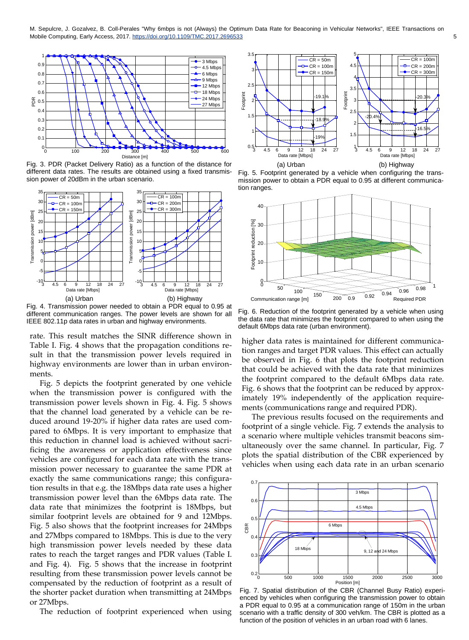

Fig. 3. PDR (Packet Delivery Ratio) as a function of the distance for different data rates. The results are obtained using a fixed transmission power of 20dBm in the urban scenario.



Fig. 4. Transmission power needed to obtain a PDR equal to 0.95 at different communication ranges. The power levels are shown for all IEEE 802.11p data rates in urban and highway environments.

rate. This result matches the SINR difference shown in Table I. Fig. 4 shows that the propagation conditions result in that the transmission power levels required in highway environments are lower than in urban environments.

Fig. 5 depicts the footprint generated by one vehicle when the transmission power is configured with the transmission power levels shown in Fig. 4. Fig. 5 shows that the channel load generated by a vehicle can be reduced around 19-20% if higher data rates are used compared to 6Mbps. It is very important to emphasize that this reduction in channel load is achieved without sacrificing the awareness or application effectiveness since vehicles are configured for each data rate with the transmission power necessary to guarantee the same PDR at exactly the same communications range; this configuration results in that e.g. the 18Mbps data rate uses a higher transmission power level than the 6Mbps data rate. The data rate that minimizes the footprint is 18Mbps, but similar footprint levels are obtained for 9 and 12Mbps. Fig. 5 also shows that the footprint increases for 24Mbps and 27Mbps compared to 18Mbps. This is due to the very high transmission power levels needed by these data rates to reach the target ranges and PDR values (Table I. and Fig. 4). Fig. 5 shows that the increase in footprint resulting from these transmission power levels cannot be compensated by the reduction of footprint as a result of the shorter packet duration when transmitting at 24Mbps or 27Mbps.

The reduction of footprint experienced when using



Fig. 5. Footprint generated by a vehicle when configuring the transmission power to obtain a PDR equal to 0.95 at different communication ranges.



Fig. 6. Reduction of the footprint generated by a vehicle when using the data rate that minimizes the footprint compared to when using the default 6Mbps data rate (urban environment).

higher data rates is maintained for different communication ranges and target PDR values. This effect can actually be observed in Fig. 6 that plots the footprint reduction that could be achieved with the data rate that minimizes the footprint compared to the default 6Mbps data rate. Fig. 6 shows that the footprint can be reduced by approximately 19% independently of the application requirements (communications range and required PDR).

The previous results focused on the requirements and footprint of a single vehicle. Fig. 7 extends the analysis to a scenario where multiple vehicles transmit beacons simultaneously over the same channel. In particular, Fig. 7 plots the spatial distribution of the CBR experienced by vehicles when using each data rate in an urban scenario



Fig. 7. Spatial distribution of the CBR (Channel Busy Ratio) experienced by vehicles when configuring the transmission power to obtain a PDR equal to 0.95 at a communication range of 150m in the urban scenario with a traffic density of 300 veh/km. The CBR is plotted as a function of the position of vehicles in an urban road with 6 lanes.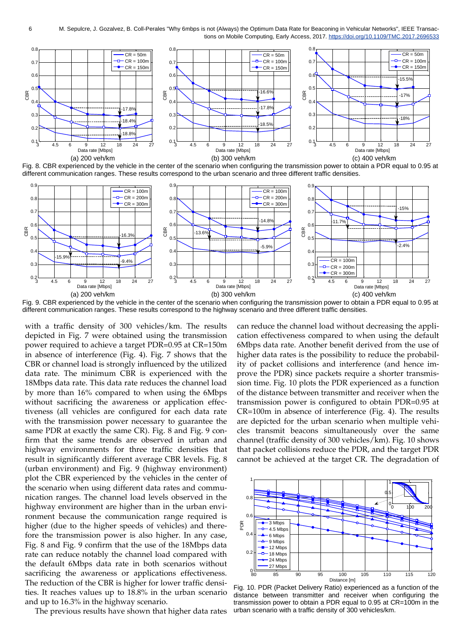

Fig. 8. CBR experienced by the vehicle in the center of the scenario when configuring the transmission power to obtain a PDR equal to 0.95 at different communication ranges. These results correspond to the urban scenario and three different traffic densities.



Fig. 9. CBR experienced by the vehicle in the center of the scenario when configuring the transmission power to obtain a PDR equal to 0.95 at different communication ranges. These results correspond to the highway scenario and three different traffic densities.

with a traffic density of 300 vehicles/km. The results depicted in Fig. 7 were obtained using the transmission power required to achieve a target PDR=0.95 at CR=150m in absence of interference (Fig. 4). Fig. 7 shows that the CBR or channel load is strongly influenced by the utilized data rate. The minimum CBR is experienced with the 18Mbps data rate. This data rate reduces the channel load by more than 16% compared to when using the 6Mbps without sacrificing the awareness or application effectiveness (all vehicles are configured for each data rate with the transmission power necessary to guarantee the same PDR at exactly the same CR). Fig. 8 and Fig. 9 confirm that the same trends are observed in urban and highway environments for three traffic densities that result in significantly different average CBR levels. Fig. 8 (urban environment) and Fig. 9 (highway environment) plot the CBR experienced by the vehicles in the center of the scenario when using different data rates and communication ranges. The channel load levels observed in the highway environment are higher than in the urban environment because the communication range required is higher (due to the higher speeds of vehicles) and therefore the transmission power is also higher. In any case, Fig. 8 and Fig. 9 confirm that the use of the 18Mbps data rate can reduce notably the channel load compared with the default 6Mbps data rate in both scenarios without sacrificing the awareness or applications effectiveness. The reduction of the CBR is higher for lower traffic densities. It reaches values up to 18.8% in the urban scenario and up to 16.3% in the highway scenario.

The previous results have shown that higher data rates

can reduce the channel load without decreasing the application effectiveness compared to when using the default 6Mbps data rate. Another benefit derived from the use of higher data rates is the possibility to reduce the probability of packet collisions and interference (and hence improve the PDR) since packets require a shorter transmission time. Fig. 10 plots the PDR experienced as a function of the distance between transmitter and receiver when the transmission power is configured to obtain PDR=0.95 at CR=100m in absence of interference (Fig. 4). The results are depicted for the urban scenario when multiple vehicles transmit beacons simultaneously over the same channel (traffic density of 300 vehicles/km). Fig. 10 shows that packet collisions reduce the PDR, and the target PDR cannot be achieved at the target CR. The degradation of



Fig. 10. PDR (Packet Delivery Ratio) experienced as a function of the distance between transmitter and receiver when configuring the transmission power to obtain a PDR equal to 0.95 at CR=100m in the urban scenario with a traffic density of 300 vehicles/km.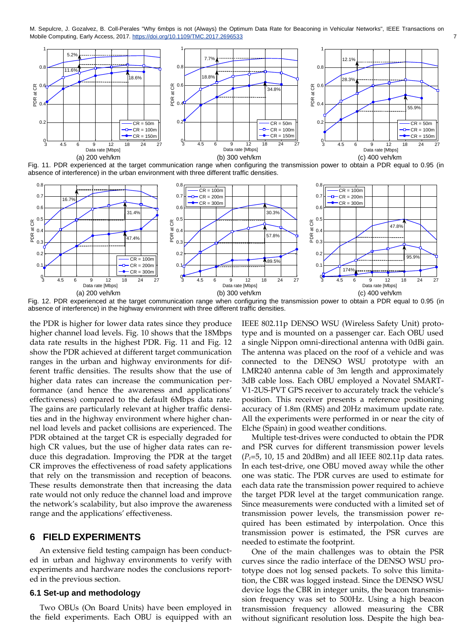

Fig. 11. PDR experienced at the target communication range when configuring the transmission power to obtain a PDR equal to 0.95 (in absence of interference) in the urban environment with three different traffic densities.



Fig. 12. PDR experienced at the target communication range when configuring the transmission power to obtain a PDR equal to 0.95 (in absence of interference) in the highway environment with three different traffic densities.

the PDR is higher for lower data rates since they produce higher channel load levels. Fig. 10 shows that the 18Mbps data rate results in the highest PDR. Fig. 11 and Fig. 12 show the PDR achieved at different target communication ranges in the urban and highway environments for different traffic densities. The results show that the use of higher data rates can increase the communication performance (and hence the awareness and applications' effectiveness) compared to the default 6Mbps data rate. The gains are particularly relevant at higher traffic densities and in the highway environment where higher channel load levels and packet collisions are experienced. The PDR obtained at the target CR is especially degraded for high CR values, but the use of higher data rates can reduce this degradation. Improving the PDR at the target CR improves the effectiveness of road safety applications that rely on the transmission and reception of beacons. These results demonstrate then that increasing the data rate would not only reduce the channel load and improve the network's scalability, but also improve the awareness range and the applications' effectiveness.

# **6 FIELD EXPERIMENTS**

An extensive field testing campaign has been conducted in urban and highway environments to verify with experiments and hardware nodes the conclusions reported in the previous section.

#### **6.1 Set-up and methodology**

Two OBUs (On Board Units) have been employed in the field experiments. Each OBU is equipped with an IEEE 802.11p DENSO WSU (Wireless Safety Unit) prototype and is mounted on a passenger car. Each OBU used a single Nippon omni-directional antenna with 0dBi gain. The antenna was placed on the roof of a vehicle and was connected to the DENSO WSU prototype with an LMR240 antenna cable of 3m length and approximately 3dB cable loss. Each OBU employed a Novatel SMART-V1-2US-PVT GPS receiver to accurately track the vehicle's position. This receiver presents a reference positioning accuracy of 1.8m (RMS) and 20Hz maximum update rate. All the experiments were performed in or near the city of Elche (Spain) in good weather conditions.

Multiple test-drives were conducted to obtain the PDR and PSR curves for different transmission power levels (*Pt*=5, 10, 15 and 20dBm) and all IEEE 802.11p data rates. In each test-drive, one OBU moved away while the other one was static. The PDR curves are used to estimate for each data rate the transmission power required to achieve the target PDR level at the target communication range. Since measurements were conducted with a limited set of transmission power levels, the transmission power required has been estimated by interpolation. Once this transmission power is estimated, the PSR curves are needed to estimate the footprint.

One of the main challenges was to obtain the PSR curves since the radio interface of the DENSO WSU prototype does not log sensed packets. To solve this limitation, the CBR was logged instead. Since the DENSO WSU device logs the CBR in integer units, the beacon transmission frequency was set to 500Hz. Using a high beacon transmission frequency allowed measuring the CBR without significant resolution loss. Despite the high bea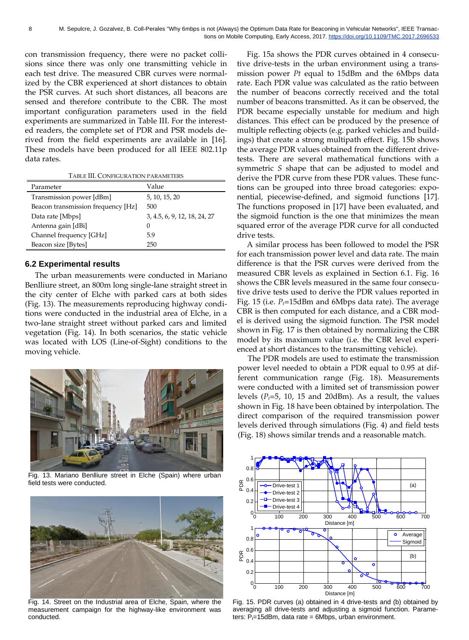con transmission frequency, there were no packet collisions since there was only one transmitting vehicle in each test drive. The measured CBR curves were normalized by the CBR experienced at short distances to obtain the PSR curves. At such short distances, all beacons are sensed and therefore contribute to the CBR. The most important configuration parameters used in the field experiments are summarized in Table III. For the interested readers, the complete set of PDR and PSR models derived from the field experiments are available in [16]. These models have been produced for all IEEE 802.11p data rates.

TABLE III. CONFIGURATION PARAMETERS

| Parameter                          | Value                        |  |
|------------------------------------|------------------------------|--|
| Transmission power [dBm]           | 5, 10, 15, 20                |  |
| Beacon transmission frequency [Hz] | 500                          |  |
| Data rate [Mbps]                   | 3, 4.5, 6, 9, 12, 18, 24, 27 |  |
| Antenna gain [dBi]                 | $\theta$                     |  |
| Channel frequency [GHz]            | 5.9                          |  |
| Beacon size [Bytes]                | 250                          |  |

### **6.2 Experimental results**

The urban measurements were conducted in Mariano Benlliure street, an 800m long single-lane straight street in the city center of Elche with parked cars at both sides (Fig. 13). The measurements reproducing highway conditions were conducted in the industrial area of Elche, in a two-lane straight street without parked cars and limited vegetation (Fig. 14). In both scenarios, the static vehicle was located with LOS (Line-of-Sight) conditions to the moving vehicle.



Fig. 13. Mariano Benlliure street in Elche (Spain) where urban field tests were conducted.



Fig. 14. Street on the Industrial area of Elche, Spain, where the measurement campaign for the highway-like environment was conducted.

Fig. 15a shows the PDR curves obtained in 4 consecutive drive-tests in the urban environment using a transmission power *Pt* equal to 15dBm and the 6Mbps data rate. Each PDR value was calculated as the ratio between the number of beacons correctly received and the total number of beacons transmitted. As it can be observed, the PDR became especially unstable for medium and high distances. This effect can be produced by the presence of multiple reflecting objects (e.g. parked vehicles and buildings) that create a strong multipath effect. Fig. 15b shows the average PDR values obtained from the different drivetests. There are several mathematical functions with a symmetric *S* shape that can be adjusted to model and derive the PDR curve from these PDR values. These functions can be grouped into three broad categories: exponential, piecewise-defined, and sigmoid functions [\[17\].](#page-10-16)  The functions proposed in [\[17\]](#page-10-16) have been evaluated, and the sigmoid function is the one that minimizes the mean squared error of the average PDR curve for all conducted drive tests.

A similar process has been followed to model the PSR for each transmission power level and data rate. The main difference is that the PSR curves were derived from the measured CBR levels as explained in Section 6.1. Fig. 16 shows the CBR levels measured in the same four consecutive drive tests used to derive the PDR values reported in Fig. 15 (i.e. *Pt*=15dBm and 6Mbps data rate). The average CBR is then computed for each distance, and a CBR model is derived using the sigmoid function. The PSR model shown in Fig. 17 is then obtained by normalizing the CBR model by its maximum value (i.e. the CBR level experienced at short distances to the transmitting vehicle).

The PDR models are used to estimate the transmission power level needed to obtain a PDR equal to 0.95 at different communication range (Fig. 18). Measurements were conducted with a limited set of transmission power levels  $(P_t=5, 10, 15, \text{ and } 20 \text{dBm})$ . As a result, the values shown in Fig. 18 have been obtained by interpolation. The direct comparison of the required transmission power levels derived through simulations (Fig. 4) and field tests (Fig. 18) shows similar trends and a reasonable match.



Fig. 15. PDR curves (a) obtained in 4 drive-tests and (b) obtained by averaging all drive-tests and adjusting a sigmoid function. Parameters:  $P_t$ =15dBm, data rate = 6Mbps, urban environment.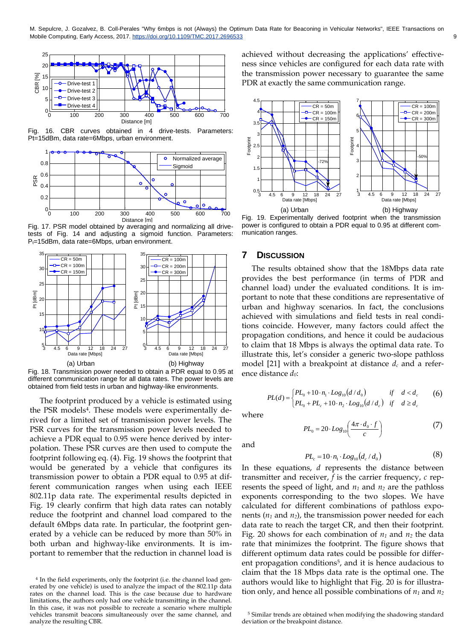

Fig. 16. CBR curves obtained in 4 drive-tests. Parameters: 1 0 Pt=15dBm, data rate=6Mbps, urban environment. 0.8 dBm, data rate=6Mbps, urban environment.



Fig. 17. PSR model obtained by averaging and normalizing all drivetests of Fig. 14 and adjusting a sigmoid function. Parameters:  $P_t$ =15dBm, data rate=6Mbps, urban environment.



Fig. 18. Transmission power needed to obtain a PDR equal to 0.95 at different communication range for all data rates. The power levels are obtained from field tests in urban and highway-like environments.

The footprint produced by a vehicle is estimated using the PSR models<sup>4</sup>. These models were experimentally derived for a limited set of transmission power levels. The PSR curves for the transmission power levels needed to achieve a PDR equal to 0.95 were hence derived by interpolation. These PSR curves are then used to compute the footprint following eq. (4). Fig. 19 shows the footprint that would be generated by a vehicle that configures its transmission power to obtain a PDR equal to 0.95 at different communication ranges when using each IEEE 802.11p data rate. The experimental results depicted in Fig. 19 clearly confirm that high data rates can notably reduce the footprint and channel load compared to the default 6Mbps data rate. In particular, the footprint generated by a vehicle can be reduced by more than 50% in both urban and highway-like environments. It is important to remember that the reduction in channel load is

achieved without decreasing the applications' effectiveness since vehicles are configured for each data rate with the transmission power necessary to guarantee the same PDR at exactly the same communication range.



Fig. 19. Experimentally derived footprint when the transmission power is configured to obtain a PDR equal to 0.95 at different communication ranges.

## **7 DISCUSSION**

Mobile Computing, Early Access, 2017. https://doi.org/10.1109/TMC.2017.2696533 9  $\,$ 

The results obtained show that the 18Mbps data rate provides the best performance (in terms of PDR and channel load) under the evaluated conditions. It is important to note that these conditions are representative of urban and highway scenarios. In fact, the conclusions achieved with simulations and field tests in real conditions coincide. However, many factors could affect the propagation conditions, and hence it could be audacious to claim that 18 Mbps is always the optimal data rate. To illustrate this, let's consider a generic two-slope pathloss model [\[21\]](#page-10-17) with a breakpoint at distance *d<sup>c</sup>* and a reference distance *d0*:

$$
PL(d) = \begin{cases} PL_0 + 10 \cdot n_1 \cdot Log_{10}(d/d_0) & \text{if } d < d_c \\ PL_0 + PL_c + 10 \cdot n_2 \cdot Log_{10}(d/d_c) & \text{if } d \ge d_c \end{cases}
$$
 (6)

where

$$
PL_0 = 20 \cdot Log_{10} \left( \frac{4\pi \cdot d_0 \cdot f}{c} \right) \tag{7}
$$

and

$$
PL_c = 10 \cdot n_1 \cdot Log_{10}(d_c/d_0) \tag{8}
$$

In these equations, *d* represents the distance between transmitter and receiver, *f* is the carrier frequency, *c* represents the speed of light, and *n<sup>1</sup>* and *n<sup>2</sup>* are the pathloss exponents corresponding to the two slopes. We have calculated for different combinations of pathloss exponents (*n<sup>1</sup>* and *n2*), the transmission power needed for each data rate to reach the target CR, and then their footprint. Fig. 20 shows for each combination of  $n_1$  and  $n_2$  the data rate that minimizes the footprint. The figure shows that different optimum data rates could be possible for different propagation conditions<sup>5</sup>, and it is hence audacious to claim that the 18 Mbps data rate is the optimal one. The authors would like to highlight that Fig. 20 is for illustration only, and hence all possible combinations of *n<sup>1</sup>* and *n<sup>2</sup>*

<sup>4</sup> In the field experiments, only the footprint (i.e. the channel load generated by one vehicle) is used to analyze the impact of the 802.11p data rates on the channel load. This is the case because due to hardware limitations, the authors only had one vehicle transmitting in the channel. In this case, it was not possible to recreate a scenario where multiple vehicles transmit beacons simultaneously over the same channel, and analyze the resulting CBR.

<sup>5</sup> Similar trends are obtained when modifying the shadowing standard deviation or the breakpoint distance.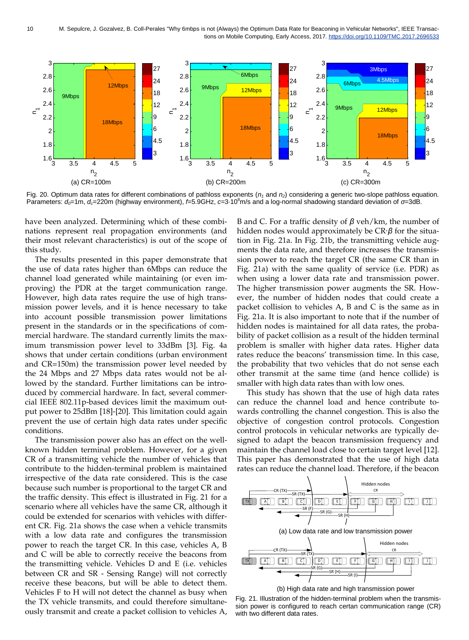

Fig. 20. Optimum data rates for different combinations of pathloss exponents (*n<sup>1</sup>* and *n2*) considering a generic two-slope pathloss equation. Parameters: *d0*=1m, *dc*=220m (highway environment), *f*=5.9GHz, *c*=3·10<sup>8</sup>m/s and a log-normal shadowing standard deviation of *σ*=3dB.

have been analyzed. Determining which of these combinations represent real propagation environments (and their most relevant characteristics) is out of the scope of this study.

The results presented in this paper demonstrate that the use of data rates higher than 6Mbps can reduce the channel load generated while maintaining (or even improving) the PDR at the target communication range. However, high data rates require the use of high transmission power levels, and it is hence necessary to take into account possible transmission power limitations present in the standards or in the specifications of commercial hardware. The standard currently limits the maximum transmission power level to 33dBm [\[3\].](#page-10-2) Fig. 4a shows that under certain conditions (urban environment and CR=150m) the transmission power level needed by the 24 Mbps and 27 Mbps data rates would not be allowed by the standard. Further limitations can be introduced by commercial hardware. In fact, several commercial IEEE 802.11p-based devices limit the maximum output power to 25dBm [\[18\]](#page-10-18)[-\[20\].](#page-10-19) This limitation could again prevent the use of certain high data rates under specific conditions.

The transmission power also has an effect on the wellknown hidden terminal problem. However, for a given CR of a transmitting vehicle the number of vehicles that contribute to the hidden-terminal problem is maintained irrespective of the data rate considered. This is the case because such number is proportional to the target CR and the traffic density. This effect is illustrated in Fig. 21 for a scenario where all vehicles have the same CR, although it could be extended for scenarios with vehicles with different CR. Fig. 21a shows the case when a vehicle transmits with a low data rate and configures the transmission power to reach the target CR. In this case, vehicles A, B and C will be able to correctly receive the beacons from the transmitting vehicle. Vehicles D and E (i.e. vehicles between CR and SR - Sensing Range) will not correctly receive these beacons, but will be able to detect them. Vehicles F to H will not detect the channel as busy when the TX vehicle transmits, and could therefore simultaneously transmit and create a packet collision to vehicles A,

B and C. For a traffic density of *β* veh/km, the number of hidden nodes would approximately be CR·*β* for the situation in Fig. 21a. In Fig. 21b, the transmitting vehicle augments the data rate, and therefore increases the transmission power to reach the target CR (the same CR than in Fig. 21a) with the same quality of service (i.e. PDR) as when using a lower data rate and transmission power. The higher transmission power augments the SR. However, the number of hidden nodes that could create a packet collision to vehicles A, B and C is the same as in Fig. 21a. It is also important to note that if the number of hidden nodes is maintained for all data rates, the probability of packet collision as a result of the hidden terminal problem is smaller with higher data rates. Higher data rates reduce the beacons' transmission time. In this case, the probability that two vehicles that do not sense each other transmit at the same time (and hence collide) is smaller with high data rates than with low ones.

This study has shown that the use of high data rates can reduce the channel load and hence contribute towards controlling the channel congestion. This is also the objective of congestion control protocols. Congestion control protocols in vehicular networks are typically designed to adapt the beacon transmission frequency and maintain the channel load close to certain target level [\[12\].](#page-10-11)  This paper has demonstrated that the use of high data rates can reduce the channel load. Therefore, if the beacon



(b) High data rate and high transmission power

Fig. 21. Illustration of the hidden-terminal problem when the transmission power is configured to reach certan communication range (CR) with two different data rates.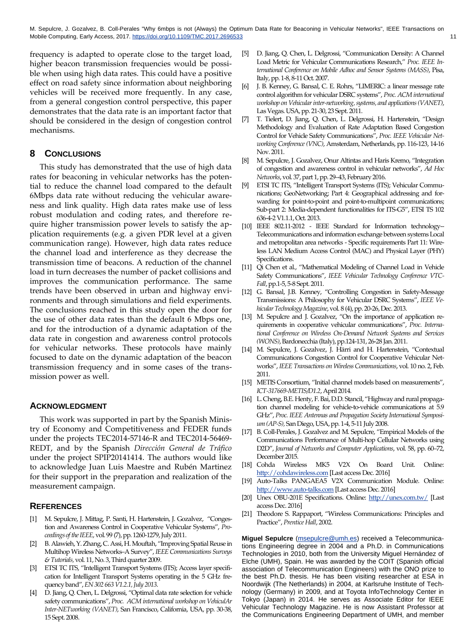M. Sepulcre, J. Gozalvez, B. Coll-Perales "Why 6mbps is not (Always) the Optimum Data Rate for Beaconing in Vehicular Networks", IEEE Transactions on Mobile Computing, Early Access, 2017. https://doi.org/10.1109/TMC.2017.2696533 11

frequency is adapted to operate close to the target load, higher beacon transmission frequencies would be possible when using high data rates. This could have a positive effect on road safety since information about neighboring vehicles will be received more frequently. In any case, from a general congestion control perspective, this paper demonstrates that the data rate is an important factor that should be considered in the design of congestion control mechanisms.

## **8 CONCLUSIONS**

This study has demonstrated that the use of high data rates for beaconing in vehicular networks has the potential to reduce the channel load compared to the default 6Mbps data rate without reducing the vehicular awareness and link quality. High data rates make use of less robust modulation and coding rates, and therefore require higher transmission power levels to satisfy the application requirements (e.g. a given PDR level at a given communication range). However, high data rates reduce the channel load and interference as they decrease the transmission time of beacons. A reduction of the channel load in turn decreases the number of packet collisions and improves the communication performance. The same trends have been observed in urban and highway environments and through simulations and field experiments. The conclusions reached in this study open the door for the use of other data rates than the default 6 Mbps one, and for the introduction of a dynamic adaptation of the data rate in congestion and awareness control protocols for vehicular networks. These protocols have mainly focused to date on the dynamic adaptation of the beacon transmission frequency and in some cases of the transmission power as well.

#### **ACKNOWLEDGMENT**

This work was supported in part by the Spanish Ministry of Economy and Competitiveness and FEDER funds under the projects TEC2014-57146-R and TEC2014-56469- REDT, and by the Spanish *Dirección General de Tráfico* under the project SPIP20141414. The authors would like to acknowledge Juan Luis Maestre and Rubén Martinez for their support in the preparation and realization of the measurement campaign.

## **REFERENCES**

- <span id="page-10-0"></span>[1] M. Sepulcre, J. Mittag, P. Santi, H. Hartenstein, J. Gozalvez, "Congestion and Awareness Control in Cooperative Vehicular Systems", *Proceedings of the IEEE*, vol. 99 (7), pp. 1260-1279, July 2011.
- <span id="page-10-1"></span>[2] B. Alawieh, Y. Zhang, C. Assi, H. Mouftah, "Improving Spatial Reuse in Multihop Wireless Networks–A Survey", *IEEE Communications Surveys & Tutorials,* vol. 11, No. 3, Third quarter 2009.
- <span id="page-10-2"></span>[3] ETSI TC ITS, "Intelligent Transport Systems (ITS); Access layer specification for Intelligent Transport Systems operating in the 5 GHz frequency band", *EN 302 663 V1.2.1, July 2013*.
- <span id="page-10-3"></span>[4] D. Jiang, Q. Chen, L. Delgrossi, "Optimal data rate selection for vehicle safety communications", *Proc. ACM international workshop on VehiculAr Inter-NETworking (VANET)*, San Francisco, California, USA, pp. 30-38, 15 Sept. 2008.
- <span id="page-10-4"></span>[5] D. Jiang, Q. Chen, L. Delgrossi, "Communication Density: A Channel Load Metric for Vehicular Communications Research," *Proc. IEEE International Conference on Mobile Adhoc and Sensor Systems (MASS)*, Pisa, Italy, pp. 1-8, 8-11 Oct. 2007.
- <span id="page-10-5"></span>[6] J. B. Kenney, G. Bansal, C. E. Rohrs, "LIMERIC: a linear message rate control algorithm for vehicular DSRC systems", *Proc. ACM international workshop on Vehicular inter-networking, systems, and applications (VANET)*, Las Vegas. USA, pp. 21-30, 23 Sept. 2011.
- <span id="page-10-6"></span>[7] T. Tielert, D. Jiang, Q. Chen, L. Delgrossi, H. Hartenstein, "Design Methodology and Evaluation of Rate Adaptation Based Congestion Control for Vehicle Safety Communications", *Proc. IEEE Vehicular Networking Conference (VNC)*, Amsterdam, Netherlands, pp. 116-123, 14-16 Nov. 2011.
- <span id="page-10-7"></span>[8] M. Sepulcre, J. Gozalvez, Onur Altintas and Haris Kremo, "Integration of congestion and awareness control in vehicular networks", *Ad Hoc Networks*, vol. 37, part 1, pp. 29–43, February 2016.
- <span id="page-10-8"></span>[9] ETSI TC ITS, "Intelligent Transport Systems (ITS); Vehicular Communications; GeoNetworking; Part 4: Geographical addressing and forwarding for point-to-point and point-to-multipoint communications; Sub-part 2: Media-dependent functionalities for ITS-G5", ETSI TS 102 636-4-2 V1.1.1, Oct. 2013.
- <span id="page-10-9"></span>[10] IEEE 802.11-2012 - IEEE Standard for Information technology--Telecommunications and information exchange between systems Local and metropolitan area networks - Specific requirements Part 11: Wireless LAN Medium Access Control (MAC) and Physical Layer (PHY) Specifications.
- <span id="page-10-10"></span>[11] Qi Chen et al., "Mathematical Modeling of Channel Load in Vehicle Safety Communications", *IEEE Vehicular Technology Conference VTC-Fall*, pp.1-5, 5-8 Sept. 2011.
- <span id="page-10-11"></span>[12] G. Bansal, J.B. Kenney, "Controlling Congestion in Safety-Message Transmissions: A Philosophy for Vehicular DSRC Systems", *IEEE Vehicular Technology Magazine*, vol. 8 (4), pp. 20-26, Dec. 2013.
- <span id="page-10-12"></span>[13] M. Sepulcre and J. Gozalvez, "On the importance of application requirements in cooperative vehicular communications", *Proc. International Conference on Wireless On-Demand Network Systems and Services (WONS)*, Bardonecchia (Italy), pp.124-131, 26-28 Jan. 2011.
- <span id="page-10-13"></span>[14] M. Sepulcre, J. Gozalvez, J. Härri and H. Hartenstein, "Contextual Communications Congestion Control for Cooperative Vehicular Networks", *IEEE Transactions on Wireless Communications*, vol. 10 no. 2, Feb. 2011.
- <span id="page-10-14"></span>[15] METIS Consortium, "Initial channel models based on measurements", *ICT-317669-METIS/D1.2*, April 2014.
- <span id="page-10-15"></span>[16] L. Cheng, B.E. Henty, F. Bai, D.D. Stancil, "Highway and rural propagation channel modeling for vehicle-to-vehicle communications at 5.9 GHz", *Proc. IEEE Antennas and Propagation Society International Symposium (AP-S),* San Diego, USA, pp. 1-4, 5-11 July 2008.
- <span id="page-10-16"></span>[17] B. Coll-Perales, J. Gozalvez and M. Sepulcre, "Empirical Models of the Communications Performance of Multi-hop Cellular Networks using D2D", *Journal of Networks and Computer Applications*, vol. 58, pp. 60–72, December 2015.
- <span id="page-10-18"></span>[18] Cohda Wireless MK5 V2X On Board Unit. Online: [http://cohdawireless.com](http://cohdawireless.com/) [Last access Dec. 2016]
- [19] Auto-Talks PANGAEA5 V2X Communication Module. Online: [http://www.auto-talks.com](http://www.auto-talks.com/) [Last access Dec. 2016]
- <span id="page-10-19"></span>[20] Unex OBU-201E Specifications. Online:<http://unex.com.tw/> [Last access Dec. 2016]
- <span id="page-10-17"></span>[21] Theodore S. Rappaport, "Wireless Communications: Principles and Practice", *Prentice Hall*, 2002.

**Miguel Sepulcre** [\(msepulcre@umh.es\)](mailto:msepulcre@umh.es) received a Telecommunications Engineering degree in 2004 and a Ph.D. in Communications Technologies in 2010, both from the University Miguel Hernández of Elche (UMH), Spain. He was awarded by the COIT (Spanish official association of Telecommunication Engineers) with the ONO prize to the best Ph.D. thesis. He has been visiting researcher at ESA in Noordwijk (The Netherlands) in 2004, at Karlsruhe Institute of Technology (Germany) in 2009, and at Toyota InfoTechnology Center in Tokyo (Japan) in 2014. He serves as Associate Editor for IEEE Vehicular Technology Magazine. He is now Assistant Professor at the Communications Engineering Department of UMH, and member